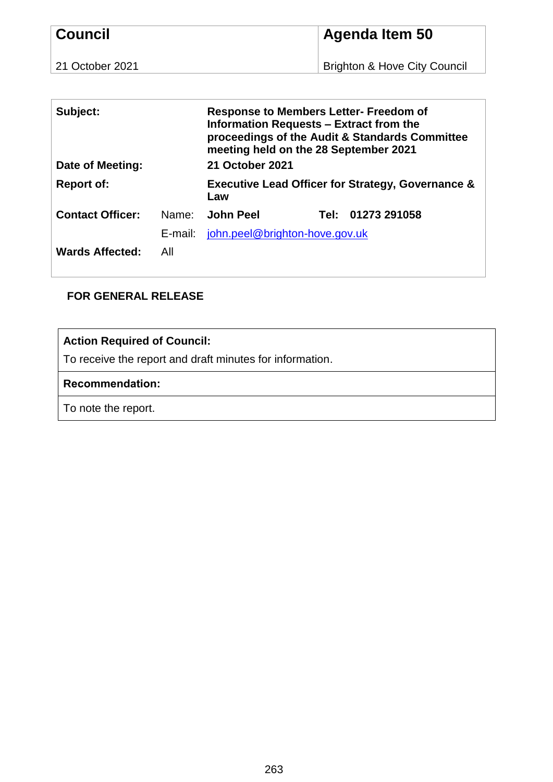| <b>Council</b>  | Agenda Item 50               |  |  |
|-----------------|------------------------------|--|--|
| 21 October 2021 | Brighton & Hove City Council |  |  |

| Subject:<br>Date of Meeting: |         | <b>Response to Members Letter- Freedom of</b><br>Information Requests - Extract from the<br>proceedings of the Audit & Standards Committee<br>meeting held on the 28 September 2021<br>21 October 2021 |      |              |
|------------------------------|---------|--------------------------------------------------------------------------------------------------------------------------------------------------------------------------------------------------------|------|--------------|
| <b>Report of:</b>            |         | <b>Executive Lead Officer for Strategy, Governance &amp;</b><br>Law                                                                                                                                    |      |              |
| <b>Contact Officer:</b>      | Name:   | John Peel                                                                                                                                                                                              | Tel: | 01273 291058 |
|                              | E-mail: | john.peel@brighton-hove.gov.uk                                                                                                                                                                         |      |              |
| <b>Wards Affected:</b>       | All     |                                                                                                                                                                                                        |      |              |

# **FOR GENERAL RELEASE**

# **Action Required of Council:**

To receive the report and draft minutes for information.

#### **Recommendation:**

To note the report.